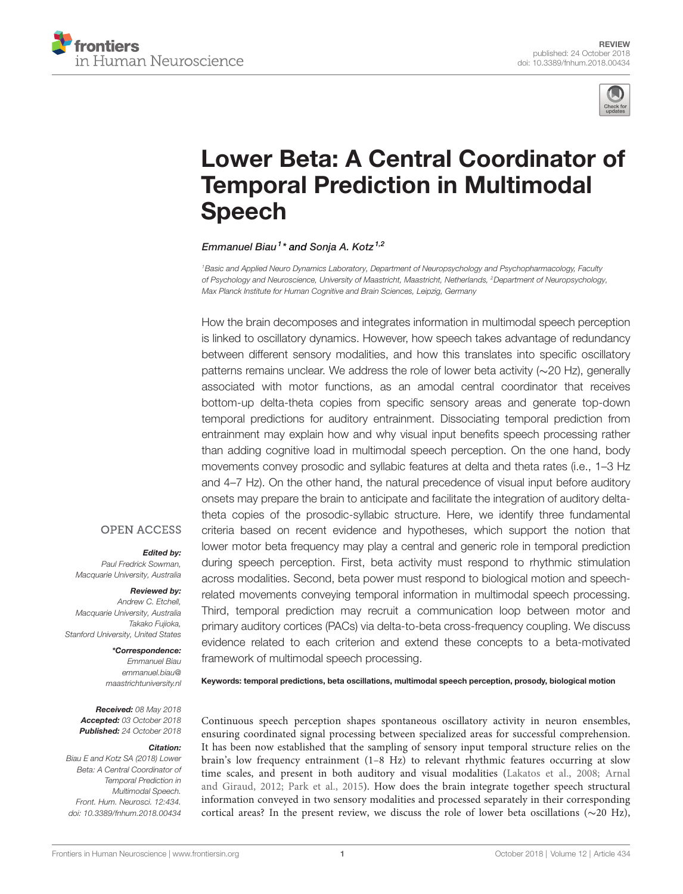



# [Lower Beta: A Central Coordinator of](https://www.frontiersin.org/articles/10.3389/fnhum.2018.00434/full) [Temporal Prediction in Multimodal](https://www.frontiersin.org/articles/10.3389/fnhum.2018.00434/full) [Speech](https://www.frontiersin.org/articles/10.3389/fnhum.2018.00434/full)

[Emmanuel Biau](https://loop.frontiersin.org/people/255935/overview)<sup>1</sup>\* and [Sonja A. Kotz](https://loop.frontiersin.org/people/6974/overview)<sup>1,2</sup>

<sup>1</sup>Basic and Applied Neuro Dynamics Laboratory, Department of Neuropsychology and Psychopharmacology, Faculty of Psychology and Neuroscience, University of Maastricht, Maastricht, Netherlands, <sup>2</sup>Department of Neuropsychology, Max Planck Institute for Human Cognitive and Brain Sciences, Leipzig, Germany

How the brain decomposes and integrates information in multimodal speech perception is linked to oscillatory dynamics. However, how speech takes advantage of redundancy between different sensory modalities, and how this translates into specific oscillatory patterns remains unclear. We address the role of lower beta activity (∼20 Hz), generally associated with motor functions, as an amodal central coordinator that receives bottom-up delta-theta copies from specific sensory areas and generate top-down temporal predictions for auditory entrainment. Dissociating temporal prediction from entrainment may explain how and why visual input benefits speech processing rather than adding cognitive load in multimodal speech perception. On the one hand, body movements convey prosodic and syllabic features at delta and theta rates (i.e., 1–3 Hz and 4–7 Hz). On the other hand, the natural precedence of visual input before auditory onsets may prepare the brain to anticipate and facilitate the integration of auditory deltatheta copies of the prosodic-syllabic structure. Here, we identify three fundamental criteria based on recent evidence and hypotheses, which support the notion that lower motor beta frequency may play a central and generic role in temporal prediction during speech perception. First, beta activity must respond to rhythmic stimulation across modalities. Second, beta power must respond to biological motion and speechrelated movements conveying temporal information in multimodal speech processing. Third, temporal prediction may recruit a communication loop between motor and primary auditory cortices (PACs) via delta-to-beta cross-frequency coupling. We discuss evidence related to each criterion and extend these concepts to a beta-motivated framework of multimodal speech processing.

**OPEN ACCESS** 

#### Edited by:

Paul Fredrick Sowman, Macquarie University, Australia

#### Reviewed by:

Andrew C. Etchell, Macquarie University, Australia Takako Fujioka, Stanford University, United States

> \*Correspondence: Emmanuel Biau [emmanuel.biau@](mailto:emmanuel.biau@maastrichtuniversity.nl) [maastrichtuniversity.nl](mailto:emmanuel.biau@maastrichtuniversity.nl)

Received: 08 May 2018 Accepted: 03 October 2018 Published: 24 October 2018

#### Citation:

Biau E and Kotz SA (2018) Lower Beta: A Central Coordinator of Temporal Prediction in Multimodal Speech. Front. Hum. Neurosci. 12:434. [doi: 10.3389/fnhum.2018.00434](https://doi.org/10.3389/fnhum.2018.00434) Keywords: temporal predictions, beta oscillations, multimodal speech perception, prosody, biological motion

Continuous speech perception shapes spontaneous oscillatory activity in neuron ensembles, ensuring coordinated signal processing between specialized areas for successful comprehension. It has been now established that the sampling of sensory input temporal structure relies on the brain's low frequency entrainment (1–8 Hz) to relevant rhythmic features occurring at slow time scales, and present in both auditory and visual modalities [\(Lakatos et al.,](#page-10-0) [2008;](#page-10-0) [Arnal](#page-9-0) [and Giraud,](#page-9-0) [2012;](#page-9-0) [Park et al.,](#page-10-1) [2015\)](#page-10-1). How does the brain integrate together speech structural information conveyed in two sensory modalities and processed separately in their corresponding cortical areas? In the present review, we discuss the role of lower beta oscillations (∼20 Hz),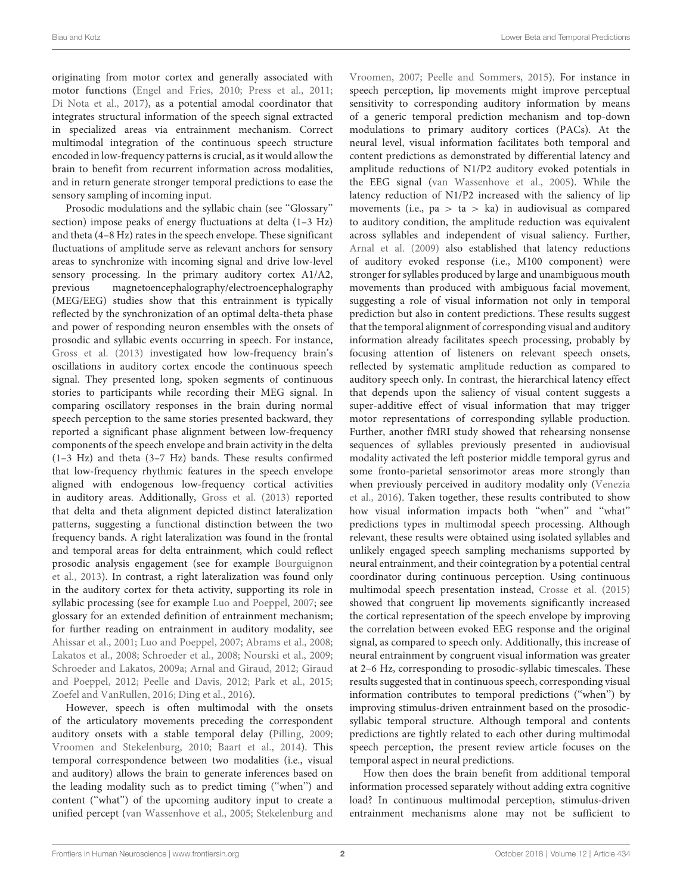originating from motor cortex and generally associated with motor functions [\(Engel and Fries,](#page-9-1) [2010;](#page-9-1) [Press et al.,](#page-10-2) [2011;](#page-10-2) [Di Nota et al.,](#page-9-2) [2017\)](#page-9-2), as a potential amodal coordinator that integrates structural information of the speech signal extracted in specialized areas via entrainment mechanism. Correct multimodal integration of the continuous speech structure encoded in low-frequency patterns is crucial, as it would allow the brain to benefit from recurrent information across modalities, and in return generate stronger temporal predictions to ease the sensory sampling of incoming input.

Prosodic modulations and the syllabic chain (see ''Glossary'' section) impose peaks of energy fluctuations at delta (1–3 Hz) and theta (4–8 Hz) rates in the speech envelope. These significant fluctuations of amplitude serve as relevant anchors for sensory areas to synchronize with incoming signal and drive low-level sensory processing. In the primary auditory cortex A1/A2, previous magnetoencephalography/electroencephalography (MEG/EEG) studies show that this entrainment is typically reflected by the synchronization of an optimal delta-theta phase and power of responding neuron ensembles with the onsets of prosodic and syllabic events occurring in speech. For instance, [Gross et al.](#page-9-3) [\(2013\)](#page-9-3) investigated how low-frequency brain's oscillations in auditory cortex encode the continuous speech signal. They presented long, spoken segments of continuous stories to participants while recording their MEG signal. In comparing oscillatory responses in the brain during normal speech perception to the same stories presented backward, they reported a significant phase alignment between low-frequency components of the speech envelope and brain activity in the delta (1–3 Hz) and theta (3–7 Hz) bands. These results confirmed that low-frequency rhythmic features in the speech envelope aligned with endogenous low-frequency cortical activities in auditory areas. Additionally, [Gross et al.](#page-9-3) [\(2013\)](#page-9-3) reported that delta and theta alignment depicted distinct lateralization patterns, suggesting a functional distinction between the two frequency bands. A right lateralization was found in the frontal and temporal areas for delta entrainment, which could reflect prosodic analysis engagement (see for example [Bourguignon](#page-9-4) [et al.,](#page-9-4) [2013\)](#page-9-4). In contrast, a right lateralization was found only in the auditory cortex for theta activity, supporting its role in syllabic processing (see for example [Luo and Poeppel,](#page-10-3) [2007;](#page-10-3) see glossary for an extended definition of entrainment mechanism; for further reading on entrainment in auditory modality, see [Ahissar et al.,](#page-9-5) [2001;](#page-9-5) [Luo and Poeppel,](#page-10-3) [2007;](#page-10-3) [Abrams et al.,](#page-9-6) [2008;](#page-9-6) [Lakatos et al.,](#page-10-0) [2008;](#page-10-0) [Schroeder et al.,](#page-11-0) [2008;](#page-11-0) [Nourski et al.,](#page-10-4) [2009;](#page-10-4) [Schroeder and Lakatos,](#page-11-1) [2009a;](#page-11-1) [Arnal and Giraud,](#page-9-0) [2012;](#page-9-0) [Giraud](#page-9-7) [and Poeppel,](#page-9-7) [2012;](#page-9-7) [Peelle and Davis,](#page-10-5) [2012;](#page-10-5) [Park et al.,](#page-10-1) [2015;](#page-10-1) [Zoefel and VanRullen,](#page-11-2) [2016;](#page-11-2) [Ding et al.,](#page-9-8) [2016\)](#page-9-8).

However, speech is often multimodal with the onsets of the articulatory movements preceding the correspondent auditory onsets with a stable temporal delay [\(Pilling,](#page-10-6) [2009;](#page-10-6) [Vroomen and Stekelenburg,](#page-11-3) [2010;](#page-11-3) [Baart et al.,](#page-9-9) [2014\)](#page-9-9). This temporal correspondence between two modalities (i.e., visual and auditory) allows the brain to generate inferences based on the leading modality such as to predict timing (''when'') and content (''what'') of the upcoming auditory input to create a unified percept [\(van Wassenhove et al.,](#page-11-4) [2005;](#page-11-4) [Stekelenburg and](#page-11-5)

[Vroomen,](#page-11-5) [2007;](#page-11-5) [Peelle and Sommers,](#page-10-7) [2015\)](#page-10-7). For instance in speech perception, lip movements might improve perceptual sensitivity to corresponding auditory information by means of a generic temporal prediction mechanism and top-down modulations to primary auditory cortices (PACs). At the neural level, visual information facilitates both temporal and content predictions as demonstrated by differential latency and amplitude reductions of N1/P2 auditory evoked potentials in the EEG signal [\(van Wassenhove et al.,](#page-11-4) [2005\)](#page-11-4). While the latency reduction of N1/P2 increased with the saliency of lip movements (i.e.,  $pa > ta > ka$ ) in audiovisual as compared to auditory condition, the amplitude reduction was equivalent across syllables and independent of visual saliency. Further, [Arnal et al.](#page-9-10) [\(2009\)](#page-9-10) also established that latency reductions of auditory evoked response (i.e., M100 component) were stronger for syllables produced by large and unambiguous mouth movements than produced with ambiguous facial movement, suggesting a role of visual information not only in temporal prediction but also in content predictions. These results suggest that the temporal alignment of corresponding visual and auditory information already facilitates speech processing, probably by focusing attention of listeners on relevant speech onsets, reflected by systematic amplitude reduction as compared to auditory speech only. In contrast, the hierarchical latency effect that depends upon the saliency of visual content suggests a super-additive effect of visual information that may trigger motor representations of corresponding syllable production. Further, another fMRI study showed that rehearsing nonsense sequences of syllables previously presented in audiovisual modality activated the left posterior middle temporal gyrus and some fronto-parietal sensorimotor areas more strongly than when previously perceived in auditory modality only [\(Venezia](#page-11-6) [et al.,](#page-11-6) [2016\)](#page-11-6). Taken together, these results contributed to show how visual information impacts both ''when'' and ''what'' predictions types in multimodal speech processing. Although relevant, these results were obtained using isolated syllables and unlikely engaged speech sampling mechanisms supported by neural entrainment, and their cointegration by a potential central coordinator during continuous perception. Using continuous multimodal speech presentation instead, [Crosse et al.](#page-9-11) [\(2015\)](#page-9-11) showed that congruent lip movements significantly increased the cortical representation of the speech envelope by improving the correlation between evoked EEG response and the original signal, as compared to speech only. Additionally, this increase of neural entrainment by congruent visual information was greater at 2–6 Hz, corresponding to prosodic-syllabic timescales. These results suggested that in continuous speech, corresponding visual information contributes to temporal predictions (''when'') by improving stimulus-driven entrainment based on the prosodicsyllabic temporal structure. Although temporal and contents predictions are tightly related to each other during multimodal speech perception, the present review article focuses on the temporal aspect in neural predictions.

How then does the brain benefit from additional temporal information processed separately without adding extra cognitive load? In continuous multimodal perception, stimulus-driven entrainment mechanisms alone may not be sufficient to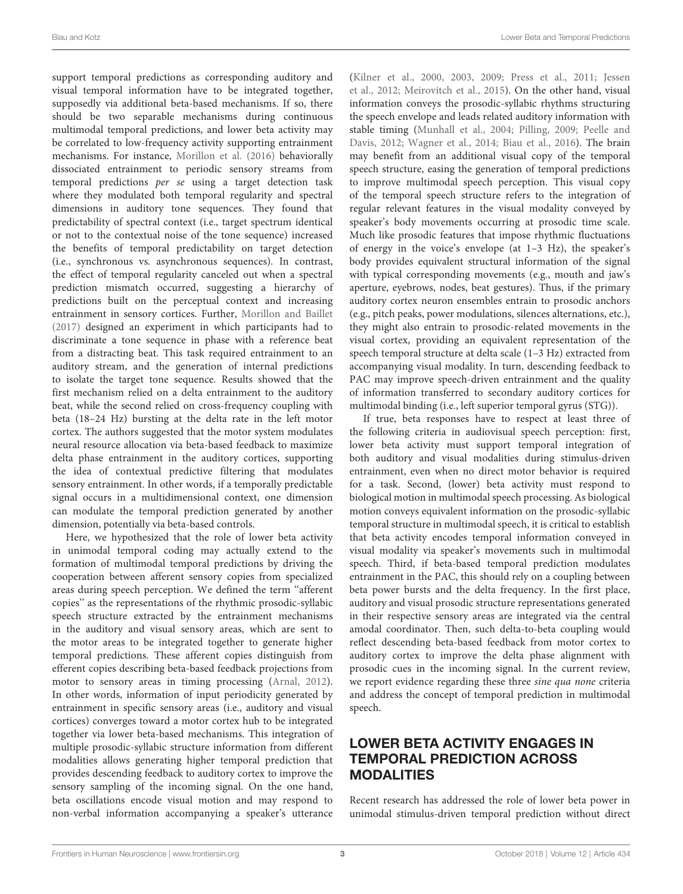support temporal predictions as corresponding auditory and visual temporal information have to be integrated together, supposedly via additional beta-based mechanisms. If so, there should be two separable mechanisms during continuous multimodal temporal predictions, and lower beta activity may be correlated to low-frequency activity supporting entrainment mechanisms. For instance, [Morillon et al.](#page-10-8) [\(2016\)](#page-10-8) behaviorally dissociated entrainment to periodic sensory streams from temporal predictions per se using a target detection task where they modulated both temporal regularity and spectral dimensions in auditory tone sequences. They found that predictability of spectral context (i.e., target spectrum identical or not to the contextual noise of the tone sequence) increased the benefits of temporal predictability on target detection (i.e., synchronous vs. asynchronous sequences). In contrast, the effect of temporal regularity canceled out when a spectral prediction mismatch occurred, suggesting a hierarchy of predictions built on the perceptual context and increasing entrainment in sensory cortices. Further, [Morillon and Baillet](#page-10-9) [\(2017\)](#page-10-9) designed an experiment in which participants had to discriminate a tone sequence in phase with a reference beat from a distracting beat. This task required entrainment to an auditory stream, and the generation of internal predictions to isolate the target tone sequence. Results showed that the first mechanism relied on a delta entrainment to the auditory beat, while the second relied on cross-frequency coupling with beta (18–24 Hz) bursting at the delta rate in the left motor cortex. The authors suggested that the motor system modulates neural resource allocation via beta-based feedback to maximize delta phase entrainment in the auditory cortices, supporting the idea of contextual predictive filtering that modulates sensory entrainment. In other words, if a temporally predictable signal occurs in a multidimensional context, one dimension can modulate the temporal prediction generated by another dimension, potentially via beta-based controls.

Here, we hypothesized that the role of lower beta activity in unimodal temporal coding may actually extend to the formation of multimodal temporal predictions by driving the cooperation between afferent sensory copies from specialized areas during speech perception. We defined the term ''afferent copies'' as the representations of the rhythmic prosodic-syllabic speech structure extracted by the entrainment mechanisms in the auditory and visual sensory areas, which are sent to the motor areas to be integrated together to generate higher temporal predictions. These afferent copies distinguish from efferent copies describing beta-based feedback projections from motor to sensory areas in timing processing [\(Arnal,](#page-9-12) [2012\)](#page-9-12). In other words, information of input periodicity generated by entrainment in specific sensory areas (i.e., auditory and visual cortices) converges toward a motor cortex hub to be integrated together via lower beta-based mechanisms. This integration of multiple prosodic-syllabic structure information from different modalities allows generating higher temporal prediction that provides descending feedback to auditory cortex to improve the sensory sampling of the incoming signal. On the one hand, beta oscillations encode visual motion and may respond to non-verbal information accompanying a speaker's utterance [\(Kilner et al.,](#page-10-10) [2000,](#page-10-10) [2003,](#page-10-11) [2009;](#page-10-12) [Press et al.,](#page-10-2) [2011;](#page-10-2) [Jessen](#page-9-13) [et al.,](#page-9-13) [2012;](#page-9-13) [Meirovitch et al.,](#page-10-13) [2015\)](#page-10-13). On the other hand, visual information conveys the prosodic-syllabic rhythms structuring the speech envelope and leads related auditory information with stable timing [\(Munhall et al.,](#page-10-14) [2004;](#page-10-14) [Pilling,](#page-10-6) [2009;](#page-10-6) [Peelle and](#page-10-5) [Davis,](#page-10-5) [2012;](#page-10-5) [Wagner et al.,](#page-11-7) [2014;](#page-11-7) [Biau et al.,](#page-9-14) [2016\)](#page-9-14). The brain may benefit from an additional visual copy of the temporal speech structure, easing the generation of temporal predictions to improve multimodal speech perception. This visual copy of the temporal speech structure refers to the integration of regular relevant features in the visual modality conveyed by speaker's body movements occurring at prosodic time scale. Much like prosodic features that impose rhythmic fluctuations of energy in the voice's envelope (at 1–3 Hz), the speaker's body provides equivalent structural information of the signal with typical corresponding movements (e.g., mouth and jaw's aperture, eyebrows, nodes, beat gestures). Thus, if the primary auditory cortex neuron ensembles entrain to prosodic anchors (e.g., pitch peaks, power modulations, silences alternations, etc.), they might also entrain to prosodic-related movements in the visual cortex, providing an equivalent representation of the speech temporal structure at delta scale (1–3 Hz) extracted from accompanying visual modality. In turn, descending feedback to PAC may improve speech-driven entrainment and the quality of information transferred to secondary auditory cortices for multimodal binding (i.e., left superior temporal gyrus (STG)).

If true, beta responses have to respect at least three of the following criteria in audiovisual speech perception: first, lower beta activity must support temporal integration of both auditory and visual modalities during stimulus-driven entrainment, even when no direct motor behavior is required for a task. Second, (lower) beta activity must respond to biological motion in multimodal speech processing. As biological motion conveys equivalent information on the prosodic-syllabic temporal structure in multimodal speech, it is critical to establish that beta activity encodes temporal information conveyed in visual modality via speaker's movements such in multimodal speech. Third, if beta-based temporal prediction modulates entrainment in the PAC, this should rely on a coupling between beta power bursts and the delta frequency. In the first place, auditory and visual prosodic structure representations generated in their respective sensory areas are integrated via the central amodal coordinator. Then, such delta-to-beta coupling would reflect descending beta-based feedback from motor cortex to auditory cortex to improve the delta phase alignment with prosodic cues in the incoming signal. In the current review, we report evidence regarding these three sine qua none criteria and address the concept of temporal prediction in multimodal speech.

# LOWER BETA ACTIVITY ENGAGES IN TEMPORAL PREDICTION ACROSS MODALITIES

Recent research has addressed the role of lower beta power in unimodal stimulus-driven temporal prediction without direct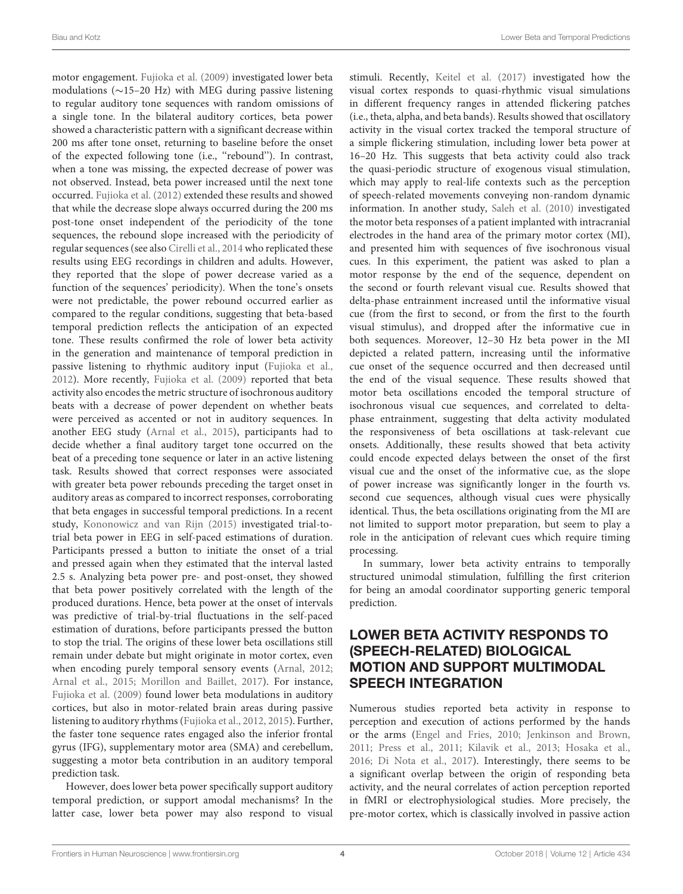motor engagement. [Fujioka et al.](#page-9-15) [\(2009\)](#page-9-15) investigated lower beta modulations (∼15–20 Hz) with MEG during passive listening to regular auditory tone sequences with random omissions of a single tone. In the bilateral auditory cortices, beta power showed a characteristic pattern with a significant decrease within 200 ms after tone onset, returning to baseline before the onset of the expected following tone (i.e., ''rebound''). In contrast, when a tone was missing, the expected decrease of power was not observed. Instead, beta power increased until the next tone occurred. [Fujioka et al.](#page-9-16) [\(2012\)](#page-9-16) extended these results and showed that while the decrease slope always occurred during the 200 ms post-tone onset independent of the periodicity of the tone sequences, the rebound slope increased with the periodicity of regular sequences (see also [Cirelli et al.,](#page-9-17) [2014](#page-9-17) who replicated these results using EEG recordings in children and adults. However, they reported that the slope of power decrease varied as a function of the sequences' periodicity). When the tone's onsets were not predictable, the power rebound occurred earlier as compared to the regular conditions, suggesting that beta-based temporal prediction reflects the anticipation of an expected tone. These results confirmed the role of lower beta activity in the generation and maintenance of temporal prediction in passive listening to rhythmic auditory input [\(Fujioka et al.,](#page-9-16) [2012\)](#page-9-16). More recently, [Fujioka et al.](#page-9-15) [\(2009\)](#page-9-15) reported that beta activity also encodes the metric structure of isochronous auditory beats with a decrease of power dependent on whether beats were perceived as accented or not in auditory sequences. In another EEG study [\(Arnal et al.,](#page-9-18) [2015\)](#page-9-18), participants had to decide whether a final auditory target tone occurred on the beat of a preceding tone sequence or later in an active listening task. Results showed that correct responses were associated with greater beta power rebounds preceding the target onset in auditory areas as compared to incorrect responses, corroborating that beta engages in successful temporal predictions. In a recent study, [Kononowicz and van Rijn](#page-10-15) [\(2015\)](#page-10-15) investigated trial-totrial beta power in EEG in self-paced estimations of duration. Participants pressed a button to initiate the onset of a trial and pressed again when they estimated that the interval lasted 2.5 s. Analyzing beta power pre- and post-onset, they showed that beta power positively correlated with the length of the produced durations. Hence, beta power at the onset of intervals was predictive of trial-by-trial fluctuations in the self-paced estimation of durations, before participants pressed the button to stop the trial. The origins of these lower beta oscillations still remain under debate but might originate in motor cortex, even when encoding purely temporal sensory events [\(Arnal,](#page-9-12) [2012;](#page-9-12) [Arnal et al.,](#page-9-18) [2015;](#page-9-18) [Morillon and Baillet,](#page-10-9) [2017\)](#page-10-9). For instance, [Fujioka et al.](#page-9-15) [\(2009\)](#page-9-15) found lower beta modulations in auditory cortices, but also in motor-related brain areas during passive listening to auditory rhythms [\(Fujioka et al.,](#page-9-16) [2012,](#page-9-16) [2015\)](#page-9-19). Further, the faster tone sequence rates engaged also the inferior frontal gyrus (IFG), supplementary motor area (SMA) and cerebellum, suggesting a motor beta contribution in an auditory temporal prediction task.

However, does lower beta power specifically support auditory temporal prediction, or support amodal mechanisms? In the latter case, lower beta power may also respond to visual

stimuli. Recently, [Keitel et al.](#page-10-16) [\(2017\)](#page-10-16) investigated how the visual cortex responds to quasi-rhythmic visual simulations in different frequency ranges in attended flickering patches (i.e., theta, alpha, and beta bands). Results showed that oscillatory activity in the visual cortex tracked the temporal structure of a simple flickering stimulation, including lower beta power at 16–20 Hz. This suggests that beta activity could also track the quasi-periodic structure of exogenous visual stimulation, which may apply to real-life contexts such as the perception of speech-related movements conveying non-random dynamic information. In another study, [Saleh et al.](#page-10-17) [\(2010\)](#page-10-17) investigated the motor beta responses of a patient implanted with intracranial electrodes in the hand area of the primary motor cortex (MI), and presented him with sequences of five isochronous visual cues. In this experiment, the patient was asked to plan a motor response by the end of the sequence, dependent on the second or fourth relevant visual cue. Results showed that delta-phase entrainment increased until the informative visual cue (from the first to second, or from the first to the fourth visual stimulus), and dropped after the informative cue in both sequences. Moreover, 12–30 Hz beta power in the MI depicted a related pattern, increasing until the informative cue onset of the sequence occurred and then decreased until the end of the visual sequence. These results showed that motor beta oscillations encoded the temporal structure of isochronous visual cue sequences, and correlated to deltaphase entrainment, suggesting that delta activity modulated the responsiveness of beta oscillations at task-relevant cue onsets. Additionally, these results showed that beta activity could encode expected delays between the onset of the first visual cue and the onset of the informative cue, as the slope of power increase was significantly longer in the fourth vs. second cue sequences, although visual cues were physically identical. Thus, the beta oscillations originating from the MI are not limited to support motor preparation, but seem to play a role in the anticipation of relevant cues which require timing processing.

In summary, lower beta activity entrains to temporally structured unimodal stimulation, fulfilling the first criterion for being an amodal coordinator supporting generic temporal prediction.

## LOWER BETA ACTIVITY RESPONDS TO (SPEECH-RELATED) BIOLOGICAL MOTION AND SUPPORT MULTIMODAL SPEECH INTEGRATION

Numerous studies reported beta activity in response to perception and execution of actions performed by the hands or the arms [\(Engel and Fries,](#page-9-1) [2010;](#page-9-1) [Jenkinson and Brown,](#page-9-20) [2011;](#page-9-20) [Press et al.,](#page-10-2) [2011;](#page-10-2) [Kilavik et al.,](#page-10-18) [2013;](#page-10-18) [Hosaka et al.,](#page-9-21) [2016;](#page-9-21) [Di Nota et al.,](#page-9-2) [2017\)](#page-9-2). Interestingly, there seems to be a significant overlap between the origin of responding beta activity, and the neural correlates of action perception reported in fMRI or electrophysiological studies. More precisely, the pre-motor cortex, which is classically involved in passive action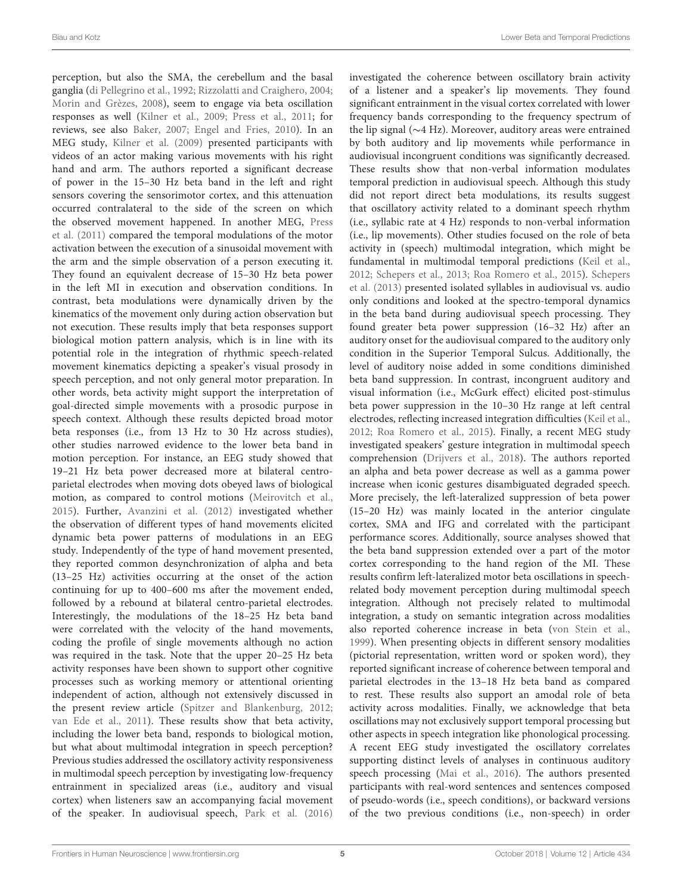perception, but also the SMA, the cerebellum and the basal ganglia [\(di Pellegrino et al.,](#page-9-22) [1992;](#page-9-22) [Rizzolatti and Craighero,](#page-10-19) [2004;](#page-10-19) [Morin and Grèzes,](#page-10-20) [2008\)](#page-10-20), seem to engage via beta oscillation responses as well [\(Kilner et al.,](#page-10-12) [2009;](#page-10-12) [Press et al.,](#page-10-2) [2011;](#page-10-2) for reviews, see also [Baker,](#page-9-23) [2007;](#page-9-23) [Engel and Fries,](#page-9-1) [2010\)](#page-9-1). In an MEG study, [Kilner et al.](#page-10-12) [\(2009\)](#page-10-12) presented participants with videos of an actor making various movements with his right hand and arm. The authors reported a significant decrease of power in the 15–30 Hz beta band in the left and right sensors covering the sensorimotor cortex, and this attenuation occurred contralateral to the side of the screen on which the observed movement happened. In another MEG, [Press](#page-10-2) [et al.](#page-10-2) [\(2011\)](#page-10-2) compared the temporal modulations of the motor activation between the execution of a sinusoidal movement with the arm and the simple observation of a person executing it. They found an equivalent decrease of 15–30 Hz beta power in the left MI in execution and observation conditions. In contrast, beta modulations were dynamically driven by the kinematics of the movement only during action observation but not execution. These results imply that beta responses support biological motion pattern analysis, which is in line with its potential role in the integration of rhythmic speech-related movement kinematics depicting a speaker's visual prosody in speech perception, and not only general motor preparation. In other words, beta activity might support the interpretation of goal-directed simple movements with a prosodic purpose in speech context. Although these results depicted broad motor beta responses (i.e., from 13 Hz to 30 Hz across studies), other studies narrowed evidence to the lower beta band in motion perception. For instance, an EEG study showed that 19–21 Hz beta power decreased more at bilateral centroparietal electrodes when moving dots obeyed laws of biological motion, as compared to control motions [\(Meirovitch et al.,](#page-10-13) [2015\)](#page-10-13). Further, [Avanzini et al.](#page-9-24) [\(2012\)](#page-9-24) investigated whether the observation of different types of hand movements elicited dynamic beta power patterns of modulations in an EEG study. Independently of the type of hand movement presented, they reported common desynchronization of alpha and beta (13–25 Hz) activities occurring at the onset of the action continuing for up to 400–600 ms after the movement ended, followed by a rebound at bilateral centro-parietal electrodes. Interestingly, the modulations of the 18–25 Hz beta band were correlated with the velocity of the hand movements, coding the profile of single movements although no action was required in the task. Note that the upper 20–25 Hz beta activity responses have been shown to support other cognitive processes such as working memory or attentional orienting independent of action, although not extensively discussed in the present review article [\(Spitzer and Blankenburg,](#page-11-8) [2012;](#page-11-8) [van Ede et al.,](#page-11-9) [2011\)](#page-11-9). These results show that beta activity, including the lower beta band, responds to biological motion, but what about multimodal integration in speech perception? Previous studies addressed the oscillatory activity responsiveness in multimodal speech perception by investigating low-frequency entrainment in specialized areas (i.e., auditory and visual cortex) when listeners saw an accompanying facial movement of the speaker. In audiovisual speech, [Park et al.](#page-10-21) [\(2016\)](#page-10-21)

investigated the coherence between oscillatory brain activity of a listener and a speaker's lip movements. They found significant entrainment in the visual cortex correlated with lower frequency bands corresponding to the frequency spectrum of the lip signal (∼4 Hz). Moreover, auditory areas were entrained by both auditory and lip movements while performance in audiovisual incongruent conditions was significantly decreased. These results show that non-verbal information modulates temporal prediction in audiovisual speech. Although this study did not report direct beta modulations, its results suggest that oscillatory activity related to a dominant speech rhythm (i.e., syllabic rate at 4 Hz) responds to non-verbal information (i.e., lip movements). Other studies focused on the role of beta activity in (speech) multimodal integration, which might be fundamental in multimodal temporal predictions [\(Keil et al.,](#page-10-22) [2012;](#page-10-22) [Schepers et al.,](#page-10-23) [2013;](#page-10-23) [Roa Romero et al.,](#page-10-24) [2015\)](#page-10-24). [Schepers](#page-10-23) [et al.](#page-10-23) [\(2013\)](#page-10-23) presented isolated syllables in audiovisual vs. audio only conditions and looked at the spectro-temporal dynamics in the beta band during audiovisual speech processing. They found greater beta power suppression (16–32 Hz) after an auditory onset for the audiovisual compared to the auditory only condition in the Superior Temporal Sulcus. Additionally, the level of auditory noise added in some conditions diminished beta band suppression. In contrast, incongruent auditory and visual information (i.e., McGurk effect) elicited post-stimulus beta power suppression in the 10–30 Hz range at left central electrodes, reflecting increased integration difficulties [\(Keil et al.,](#page-10-22) [2012;](#page-10-22) [Roa Romero et al.,](#page-10-24) [2015\)](#page-10-24). Finally, a recent MEG study investigated speakers' gesture integration in multimodal speech comprehension [\(Drijvers et al.,](#page-9-25) [2018\)](#page-9-25). The authors reported an alpha and beta power decrease as well as a gamma power increase when iconic gestures disambiguated degraded speech. More precisely, the left-lateralized suppression of beta power (15–20 Hz) was mainly located in the anterior cingulate cortex, SMA and IFG and correlated with the participant performance scores. Additionally, source analyses showed that the beta band suppression extended over a part of the motor cortex corresponding to the hand region of the MI. These results confirm left-lateralized motor beta oscillations in speechrelated body movement perception during multimodal speech integration. Although not precisely related to multimodal integration, a study on semantic integration across modalities also reported coherence increase in beta [\(von Stein et al.,](#page-11-10) [1999\)](#page-11-10). When presenting objects in different sensory modalities (pictorial representation, written word or spoken word), they reported significant increase of coherence between temporal and parietal electrodes in the 13–18 Hz beta band as compared to rest. These results also support an amodal role of beta activity across modalities. Finally, we acknowledge that beta oscillations may not exclusively support temporal processing but other aspects in speech integration like phonological processing. A recent EEG study investigated the oscillatory correlates supporting distinct levels of analyses in continuous auditory speech processing [\(Mai et al.,](#page-10-25) [2016\)](#page-10-25). The authors presented participants with real-word sentences and sentences composed of pseudo-words (i.e., speech conditions), or backward versions of the two previous conditions (i.e., non-speech) in order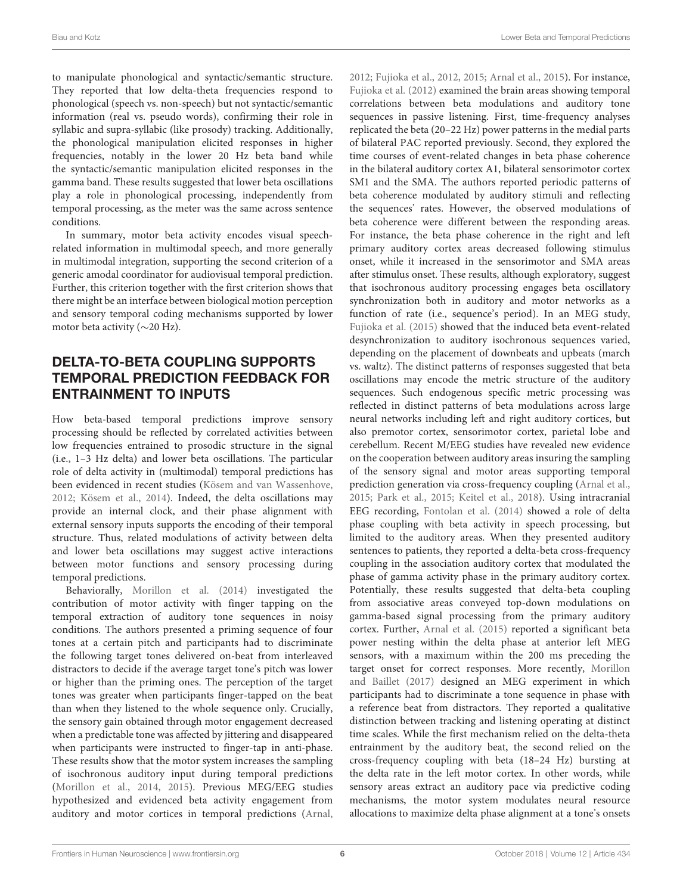to manipulate phonological and syntactic/semantic structure. They reported that low delta-theta frequencies respond to phonological (speech vs. non-speech) but not syntactic/semantic information (real vs. pseudo words), confirming their role in syllabic and supra-syllabic (like prosody) tracking. Additionally, the phonological manipulation elicited responses in higher frequencies, notably in the lower 20 Hz beta band while the syntactic/semantic manipulation elicited responses in the gamma band. These results suggested that lower beta oscillations play a role in phonological processing, independently from temporal processing, as the meter was the same across sentence conditions.

In summary, motor beta activity encodes visual speechrelated information in multimodal speech, and more generally in multimodal integration, supporting the second criterion of a generic amodal coordinator for audiovisual temporal prediction. Further, this criterion together with the first criterion shows that there might be an interface between biological motion perception and sensory temporal coding mechanisms supported by lower motor beta activity (∼20 Hz).

# DELTA-TO-BETA COUPLING SUPPORTS TEMPORAL PREDICTION FEEDBACK FOR ENTRAINMENT TO INPUTS

How beta-based temporal predictions improve sensory processing should be reflected by correlated activities between low frequencies entrained to prosodic structure in the signal (i.e., 1–3 Hz delta) and lower beta oscillations. The particular role of delta activity in (multimodal) temporal predictions has been evidenced in recent studies [\(Kösem and van Wassenhove,](#page-10-26) [2012;](#page-10-26) [Kösem et al.,](#page-10-27) [2014\)](#page-10-27). Indeed, the delta oscillations may provide an internal clock, and their phase alignment with external sensory inputs supports the encoding of their temporal structure. Thus, related modulations of activity between delta and lower beta oscillations may suggest active interactions between motor functions and sensory processing during temporal predictions.

Behaviorally, [Morillon et al.](#page-10-28) [\(2014\)](#page-10-28) investigated the contribution of motor activity with finger tapping on the temporal extraction of auditory tone sequences in noisy conditions. The authors presented a priming sequence of four tones at a certain pitch and participants had to discriminate the following target tones delivered on-beat from interleaved distractors to decide if the average target tone's pitch was lower or higher than the priming ones. The perception of the target tones was greater when participants finger-tapped on the beat than when they listened to the whole sequence only. Crucially, the sensory gain obtained through motor engagement decreased when a predictable tone was affected by jittering and disappeared when participants were instructed to finger-tap in anti-phase. These results show that the motor system increases the sampling of isochronous auditory input during temporal predictions [\(Morillon et al.,](#page-10-28) [2014,](#page-10-28) [2015\)](#page-10-29). Previous MEG/EEG studies hypothesized and evidenced beta activity engagement from auditory and motor cortices in temporal predictions [\(Arnal,](#page-9-12)

[2012;](#page-9-12) [Fujioka et al.,](#page-9-16) [2012,](#page-9-16) [2015;](#page-9-19) [Arnal et al.,](#page-9-18) [2015\)](#page-9-18). For instance, [Fujioka et al.](#page-9-16) [\(2012\)](#page-9-16) examined the brain areas showing temporal correlations between beta modulations and auditory tone sequences in passive listening. First, time-frequency analyses replicated the beta (20–22 Hz) power patterns in the medial parts of bilateral PAC reported previously. Second, they explored the time courses of event-related changes in beta phase coherence in the bilateral auditory cortex A1, bilateral sensorimotor cortex SM1 and the SMA. The authors reported periodic patterns of beta coherence modulated by auditory stimuli and reflecting the sequences' rates. However, the observed modulations of beta coherence were different between the responding areas. For instance, the beta phase coherence in the right and left primary auditory cortex areas decreased following stimulus onset, while it increased in the sensorimotor and SMA areas after stimulus onset. These results, although exploratory, suggest that isochronous auditory processing engages beta oscillatory synchronization both in auditory and motor networks as a function of rate (i.e., sequence's period). In an MEG study, [Fujioka et al.](#page-9-19) [\(2015\)](#page-9-19) showed that the induced beta event-related desynchronization to auditory isochronous sequences varied, depending on the placement of downbeats and upbeats (march vs. waltz). The distinct patterns of responses suggested that beta oscillations may encode the metric structure of the auditory sequences. Such endogenous specific metric processing was reflected in distinct patterns of beta modulations across large neural networks including left and right auditory cortices, but also premotor cortex, sensorimotor cortex, parietal lobe and cerebellum. Recent M/EEG studies have revealed new evidence on the cooperation between auditory areas insuring the sampling of the sensory signal and motor areas supporting temporal prediction generation via cross-frequency coupling [\(Arnal et al.,](#page-9-18) [2015;](#page-9-18) [Park et al.,](#page-10-1) [2015;](#page-10-1) [Keitel et al.,](#page-10-30) [2018\)](#page-10-30). Using intracranial EEG recording, [Fontolan et al.](#page-9-26) [\(2014\)](#page-9-26) showed a role of delta phase coupling with beta activity in speech processing, but limited to the auditory areas. When they presented auditory sentences to patients, they reported a delta-beta cross-frequency coupling in the association auditory cortex that modulated the phase of gamma activity phase in the primary auditory cortex. Potentially, these results suggested that delta-beta coupling from associative areas conveyed top-down modulations on gamma-based signal processing from the primary auditory cortex. Further, [Arnal et al.](#page-9-18) [\(2015\)](#page-9-18) reported a significant beta power nesting within the delta phase at anterior left MEG sensors, with a maximum within the 200 ms preceding the target onset for correct responses. More recently, [Morillon](#page-10-9) [and Baillet](#page-10-9) [\(2017\)](#page-10-9) designed an MEG experiment in which participants had to discriminate a tone sequence in phase with a reference beat from distractors. They reported a qualitative distinction between tracking and listening operating at distinct time scales. While the first mechanism relied on the delta-theta entrainment by the auditory beat, the second relied on the cross-frequency coupling with beta (18–24 Hz) bursting at the delta rate in the left motor cortex. In other words, while sensory areas extract an auditory pace via predictive coding mechanisms, the motor system modulates neural resource allocations to maximize delta phase alignment at a tone's onsets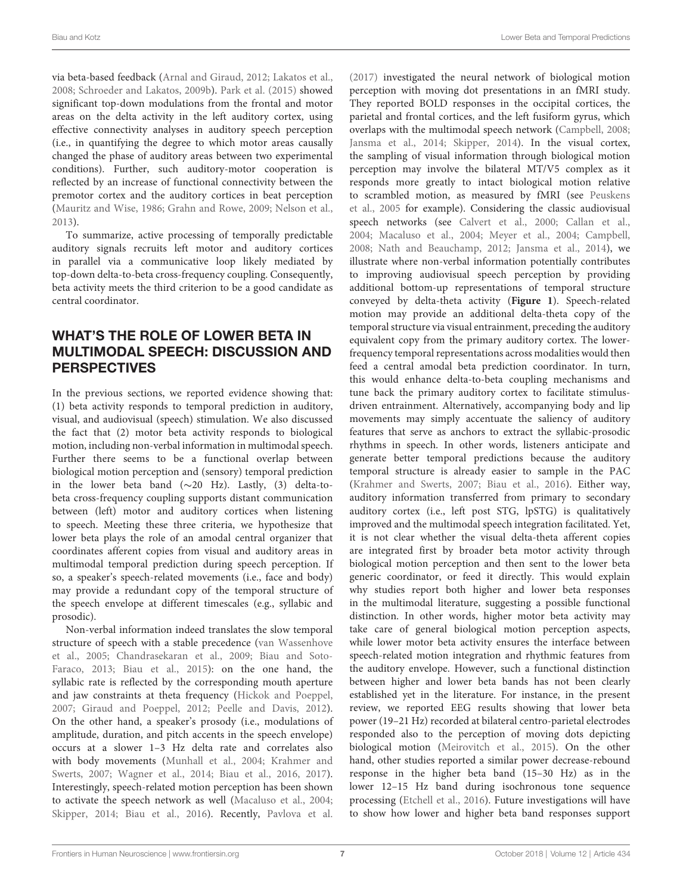via beta-based feedback [\(Arnal and Giraud,](#page-9-0) [2012;](#page-9-0) [Lakatos et al.,](#page-10-0) [2008;](#page-10-0) [Schroeder and Lakatos,](#page-11-11) [2009b\)](#page-11-11). [Park et al.](#page-10-1) [\(2015\)](#page-10-1) showed significant top-down modulations from the frontal and motor areas on the delta activity in the left auditory cortex, using effective connectivity analyses in auditory speech perception (i.e., in quantifying the degree to which motor areas causally changed the phase of auditory areas between two experimental conditions). Further, such auditory-motor cooperation is reflected by an increase of functional connectivity between the premotor cortex and the auditory cortices in beat perception [\(Mauritz and Wise,](#page-10-31) [1986;](#page-10-31) [Grahn and Rowe,](#page-9-27) [2009;](#page-9-27) [Nelson et al.,](#page-10-32) [2013\)](#page-10-32).

To summarize, active processing of temporally predictable auditory signals recruits left motor and auditory cortices in parallel via a communicative loop likely mediated by top-down delta-to-beta cross-frequency coupling. Consequently, beta activity meets the third criterion to be a good candidate as central coordinator.

# WHAT'S THE ROLE OF LOWER BETA IN MULTIMODAL SPEECH: DISCUSSION AND **PERSPECTIVES**

In the previous sections, we reported evidence showing that: (1) beta activity responds to temporal prediction in auditory, visual, and audiovisual (speech) stimulation. We also discussed the fact that (2) motor beta activity responds to biological motion, including non-verbal information in multimodal speech. Further there seems to be a functional overlap between biological motion perception and (sensory) temporal prediction in the lower beta band (∼20 Hz). Lastly, (3) delta-tobeta cross-frequency coupling supports distant communication between (left) motor and auditory cortices when listening to speech. Meeting these three criteria, we hypothesize that lower beta plays the role of an amodal central organizer that coordinates afferent copies from visual and auditory areas in multimodal temporal prediction during speech perception. If so, a speaker's speech-related movements (i.e., face and body) may provide a redundant copy of the temporal structure of the speech envelope at different timescales (e.g., syllabic and prosodic).

Non-verbal information indeed translates the slow temporal structure of speech with a stable precedence [\(van Wassenhove](#page-11-4) [et al.,](#page-11-4) [2005;](#page-11-4) [Chandrasekaran et al.,](#page-9-28) [2009;](#page-9-28) [Biau and Soto-](#page-9-29)[Faraco,](#page-9-29) [2013;](#page-9-29) [Biau et al.,](#page-9-30) [2015\)](#page-9-30): on the one hand, the syllabic rate is reflected by the corresponding mouth aperture and jaw constraints at theta frequency [\(Hickok and Poeppel,](#page-9-31) [2007;](#page-9-31) [Giraud and Poeppel,](#page-9-7) [2012;](#page-9-7) [Peelle and Davis,](#page-10-5) [2012\)](#page-10-5). On the other hand, a speaker's prosody (i.e., modulations of amplitude, duration, and pitch accents in the speech envelope) occurs at a slower 1–3 Hz delta rate and correlates also with body movements [\(Munhall et al.,](#page-10-14) [2004;](#page-10-14) [Krahmer and](#page-10-33) [Swerts,](#page-10-33) [2007;](#page-10-33) [Wagner et al.,](#page-11-7) [2014;](#page-11-7) [Biau et al.,](#page-9-14) [2016,](#page-9-14) [2017\)](#page-9-32). Interestingly, speech-related motion perception has been shown to activate the speech network as well [\(Macaluso et al.,](#page-10-34) [2004;](#page-10-34) [Skipper,](#page-11-12) [2014;](#page-11-12) [Biau et al.,](#page-9-14) [2016\)](#page-9-14). Recently, [Pavlova et al.](#page-10-35)

[\(2017\)](#page-10-35) investigated the neural network of biological motion perception with moving dot presentations in an fMRI study. They reported BOLD responses in the occipital cortices, the parietal and frontal cortices, and the left fusiform gyrus, which overlaps with the multimodal speech network [\(Campbell,](#page-9-33) [2008;](#page-9-33) [Jansma et al.,](#page-9-34) [2014;](#page-9-34) [Skipper,](#page-11-12) [2014\)](#page-11-12). In the visual cortex, the sampling of visual information through biological motion perception may involve the bilateral MT/V5 complex as it responds more greatly to intact biological motion relative to scrambled motion, as measured by fMRI (see [Peuskens](#page-10-36) [et al.,](#page-10-36) [2005](#page-10-36) for example). Considering the classic audiovisual speech networks (see [Calvert et al.,](#page-9-35) [2000;](#page-9-35) [Callan et al.,](#page-9-36) [2004;](#page-9-36) [Macaluso et al.,](#page-10-34) [2004;](#page-10-34) [Meyer et al.,](#page-10-37) [2004;](#page-10-37) [Campbell,](#page-9-33) [2008;](#page-9-33) [Nath and Beauchamp,](#page-10-38) [2012;](#page-10-38) [Jansma et al.,](#page-9-34) [2014\)](#page-9-34), we illustrate where non-verbal information potentially contributes to improving audiovisual speech perception by providing additional bottom-up representations of temporal structure conveyed by delta-theta activity (**[Figure 1](#page-7-0)**). Speech-related motion may provide an additional delta-theta copy of the temporal structure via visual entrainment, preceding the auditory equivalent copy from the primary auditory cortex. The lowerfrequency temporal representations across modalities would then feed a central amodal beta prediction coordinator. In turn, this would enhance delta-to-beta coupling mechanisms and tune back the primary auditory cortex to facilitate stimulusdriven entrainment. Alternatively, accompanying body and lip movements may simply accentuate the saliency of auditory features that serve as anchors to extract the syllabic-prosodic rhythms in speech. In other words, listeners anticipate and generate better temporal predictions because the auditory temporal structure is already easier to sample in the PAC [\(Krahmer and Swerts,](#page-10-33) [2007;](#page-10-33) [Biau et al.,](#page-9-14) [2016\)](#page-9-14). Either way, auditory information transferred from primary to secondary auditory cortex (i.e., left post STG, lpSTG) is qualitatively improved and the multimodal speech integration facilitated. Yet, it is not clear whether the visual delta-theta afferent copies are integrated first by broader beta motor activity through biological motion perception and then sent to the lower beta generic coordinator, or feed it directly. This would explain why studies report both higher and lower beta responses in the multimodal literature, suggesting a possible functional distinction. In other words, higher motor beta activity may take care of general biological motion perception aspects, while lower motor beta activity ensures the interface between speech-related motion integration and rhythmic features from the auditory envelope. However, such a functional distinction between higher and lower beta bands has not been clearly established yet in the literature. For instance, in the present review, we reported EEG results showing that lower beta power (19–21 Hz) recorded at bilateral centro-parietal electrodes responded also to the perception of moving dots depicting biological motion [\(Meirovitch et al.,](#page-10-13) [2015\)](#page-10-13). On the other hand, other studies reported a similar power decrease-rebound response in the higher beta band (15–30 Hz) as in the lower 12–15 Hz band during isochronous tone sequence processing [\(Etchell et al.,](#page-9-37) [2016\)](#page-9-37). Future investigations will have to show how lower and higher beta band responses support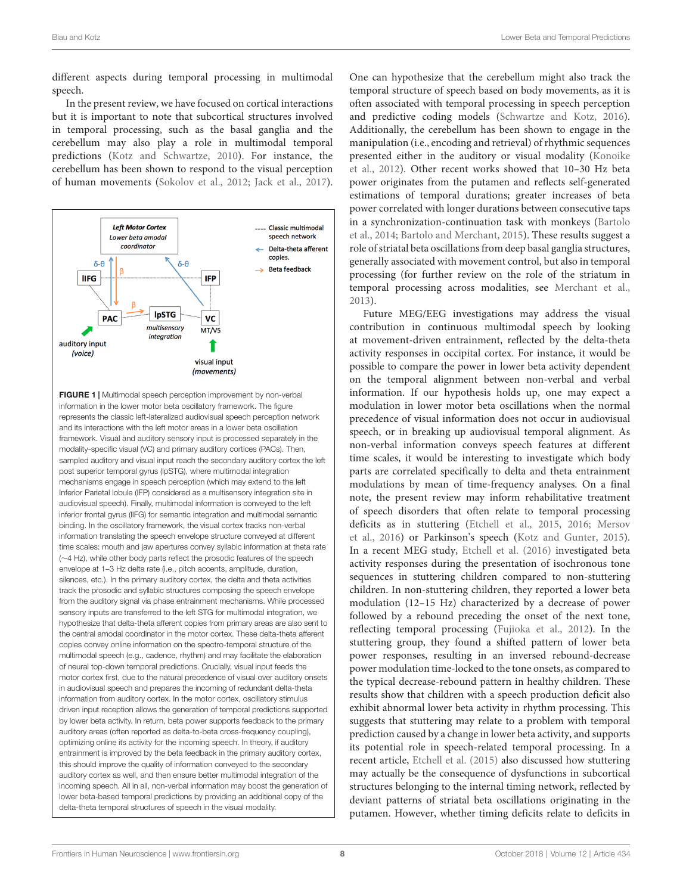different aspects during temporal processing in multimodal speech.

In the present review, we have focused on cortical interactions but it is important to note that subcortical structures involved in temporal processing, such as the basal ganglia and the cerebellum may also play a role in multimodal temporal predictions [\(Kotz and Schwartze,](#page-10-39) [2010\)](#page-10-39). For instance, the cerebellum has been shown to respond to the visual perception of human movements [\(Sokolov et al.,](#page-11-13) [2012;](#page-11-13) [Jack et al.,](#page-9-38) [2017\)](#page-9-38).



<span id="page-7-0"></span>FIGURE 1 | Multimodal speech perception improvement by non-verbal information in the lower motor beta oscillatory framework. The figure represents the classic left-lateralized audiovisual speech perception network and its interactions with the left motor areas in a lower beta oscillation framework. Visual and auditory sensory input is processed separately in the modality-specific visual (VC) and primary auditory cortices (PACs). Then, sampled auditory and visual input reach the secondary auditory cortex the left post superior temporal gyrus (lpSTG), where multimodal integration mechanisms engage in speech perception (which may extend to the left Inferior Parietal lobule (IFP) considered as a multisensory integration site in audiovisual speech). Finally, multimodal information is conveyed to the left inferior frontal gyrus (lIFG) for semantic integration and multimodal semantic binding. In the oscillatory framework, the visual cortex tracks non-verbal information translating the speech envelope structure conveyed at different time scales: mouth and jaw apertures convey syllabic information at theta rate (∼4 Hz), while other body parts reflect the prosodic features of the speech envelope at 1–3 Hz delta rate (i.e., pitch accents, amplitude, duration, silences, etc.). In the primary auditory cortex, the delta and theta activities track the prosodic and syllabic structures composing the speech envelope from the auditory signal via phase entrainment mechanisms. While processed sensory inputs are transferred to the left STG for multimodal integration, we hypothesize that delta-theta afferent copies from primary areas are also sent to the central amodal coordinator in the motor cortex. These delta-theta afferent copies convey online information on the spectro-temporal structure of the multimodal speech (e.g., cadence, rhythm) and may facilitate the elaboration of neural top-down temporal predictions. Crucially, visual input feeds the motor cortex first, due to the natural precedence of visual over auditory onsets in audiovisual speech and prepares the incoming of redundant delta-theta information from auditory cortex. In the motor cortex, oscillatory stimulus driven input reception allows the generation of temporal predictions supported by lower beta activity. In return, beta power supports feedback to the primary auditory areas (often reported as delta-to-beta cross-frequency coupling), optimizing online its activity for the incoming speech. In theory, if auditory entrainment is improved by the beta feedback in the primary auditory cortex, this should improve the quality of information conveyed to the secondary auditory cortex as well, and then ensure better multimodal integration of the incoming speech. All in all, non-verbal information may boost the generation of lower beta-based temporal predictions by providing an additional copy of the delta-theta temporal structures of speech in the visual modality.

One can hypothesize that the cerebellum might also track the temporal structure of speech based on body movements, as it is often associated with temporal processing in speech perception and predictive coding models [\(Schwartze and Kotz,](#page-11-14) [2016\)](#page-11-14). Additionally, the cerebellum has been shown to engage in the manipulation (i.e., encoding and retrieval) of rhythmic sequences presented either in the auditory or visual modality [\(Konoike](#page-10-40) [et al.,](#page-10-40) [2012\)](#page-10-40). Other recent works showed that 10–30 Hz beta power originates from the putamen and reflects self-generated estimations of temporal durations; greater increases of beta power correlated with longer durations between consecutive taps in a synchronization-continuation task with monkeys [\(Bartolo](#page-9-39) [et al.,](#page-9-39) [2014;](#page-9-39) [Bartolo and Merchant,](#page-9-40) [2015\)](#page-9-40). These results suggest a role of striatal beta oscillations from deep basal ganglia structures, generally associated with movement control, but also in temporal processing (for further review on the role of the striatum in temporal processing across modalities, see [Merchant et al.,](#page-10-41) [2013\)](#page-10-41).

Future MEG/EEG investigations may address the visual contribution in continuous multimodal speech by looking at movement-driven entrainment, reflected by the delta-theta activity responses in occipital cortex. For instance, it would be possible to compare the power in lower beta activity dependent on the temporal alignment between non-verbal and verbal information. If our hypothesis holds up, one may expect a modulation in lower motor beta oscillations when the normal precedence of visual information does not occur in audiovisual speech, or in breaking up audiovisual temporal alignment. As non-verbal information conveys speech features at different time scales, it would be interesting to investigate which body parts are correlated specifically to delta and theta entrainment modulations by mean of time-frequency analyses. On a final note, the present review may inform rehabilitative treatment of speech disorders that often relate to temporal processing deficits as in stuttering [\(Etchell et al.,](#page-9-41) [2015,](#page-9-41) [2016;](#page-9-37) [Mersov](#page-10-42) [et al.,](#page-10-42) [2016\)](#page-10-42) or Parkinson's speech [\(Kotz and Gunter,](#page-10-43) [2015\)](#page-10-43). In a recent MEG study, [Etchell et al.](#page-9-37) [\(2016\)](#page-9-37) investigated beta activity responses during the presentation of isochronous tone sequences in stuttering children compared to non-stuttering children. In non-stuttering children, they reported a lower beta modulation (12–15 Hz) characterized by a decrease of power followed by a rebound preceding the onset of the next tone, reflecting temporal processing [\(Fujioka et al.,](#page-9-16) [2012\)](#page-9-16). In the stuttering group, they found a shifted pattern of lower beta power responses, resulting in an inversed rebound-decrease power modulation time-locked to the tone onsets, as compared to the typical decrease-rebound pattern in healthy children. These results show that children with a speech production deficit also exhibit abnormal lower beta activity in rhythm processing. This suggests that stuttering may relate to a problem with temporal prediction caused by a change in lower beta activity, and supports its potential role in speech-related temporal processing. In a recent article, [Etchell et al.](#page-9-41) [\(2015\)](#page-9-41) also discussed how stuttering may actually be the consequence of dysfunctions in subcortical structures belonging to the internal timing network, reflected by deviant patterns of striatal beta oscillations originating in the putamen. However, whether timing deficits relate to deficits in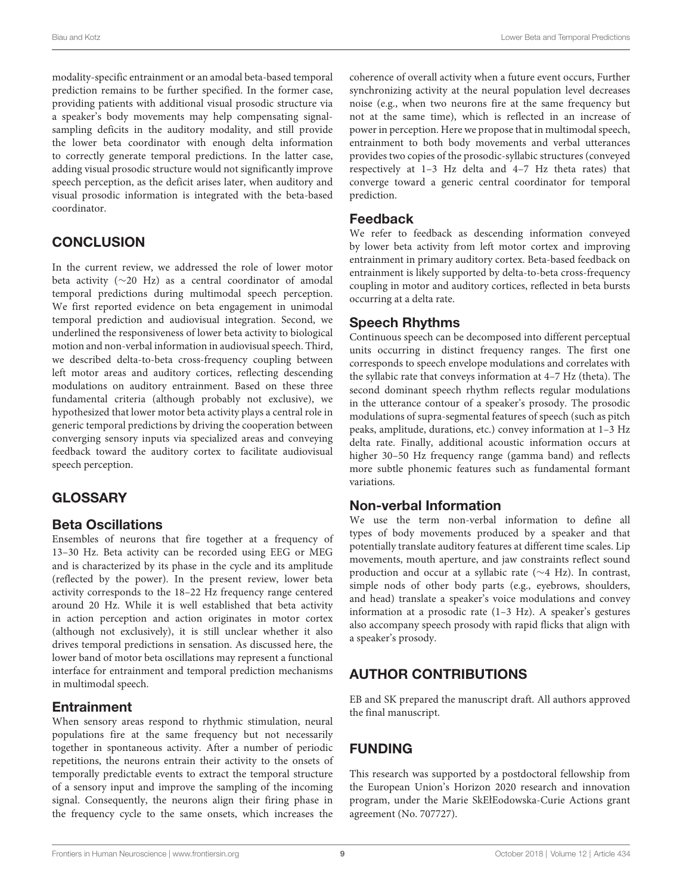modality-specific entrainment or an amodal beta-based temporal prediction remains to be further specified. In the former case, providing patients with additional visual prosodic structure via a speaker's body movements may help compensating signalsampling deficits in the auditory modality, and still provide the lower beta coordinator with enough delta information to correctly generate temporal predictions. In the latter case, adding visual prosodic structure would not significantly improve speech perception, as the deficit arises later, when auditory and visual prosodic information is integrated with the beta-based coordinator.

# **CONCLUSION**

In the current review, we addressed the role of lower motor beta activity (∼20 Hz) as a central coordinator of amodal temporal predictions during multimodal speech perception. We first reported evidence on beta engagement in unimodal temporal prediction and audiovisual integration. Second, we underlined the responsiveness of lower beta activity to biological motion and non-verbal information in audiovisual speech. Third, we described delta-to-beta cross-frequency coupling between left motor areas and auditory cortices, reflecting descending modulations on auditory entrainment. Based on these three fundamental criteria (although probably not exclusive), we hypothesized that lower motor beta activity plays a central role in generic temporal predictions by driving the cooperation between converging sensory inputs via specialized areas and conveying feedback toward the auditory cortex to facilitate audiovisual speech perception.

# **GLOSSARY**

#### Beta Oscillations

Ensembles of neurons that fire together at a frequency of 13–30 Hz. Beta activity can be recorded using EEG or MEG and is characterized by its phase in the cycle and its amplitude (reflected by the power). In the present review, lower beta activity corresponds to the 18–22 Hz frequency range centered around 20 Hz. While it is well established that beta activity in action perception and action originates in motor cortex (although not exclusively), it is still unclear whether it also drives temporal predictions in sensation. As discussed here, the lower band of motor beta oscillations may represent a functional interface for entrainment and temporal prediction mechanisms in multimodal speech.

### **Entrainment**

When sensory areas respond to rhythmic stimulation, neural populations fire at the same frequency but not necessarily together in spontaneous activity. After a number of periodic repetitions, the neurons entrain their activity to the onsets of temporally predictable events to extract the temporal structure of a sensory input and improve the sampling of the incoming signal. Consequently, the neurons align their firing phase in the frequency cycle to the same onsets, which increases the coherence of overall activity when a future event occurs, Further synchronizing activity at the neural population level decreases noise (e.g., when two neurons fire at the same frequency but not at the same time), which is reflected in an increase of power in perception. Here we propose that in multimodal speech, entrainment to both body movements and verbal utterances provides two copies of the prosodic-syllabic structures (conveyed respectively at 1–3 Hz delta and 4–7 Hz theta rates) that converge toward a generic central coordinator for temporal prediction.

### Feedback

We refer to feedback as descending information conveyed by lower beta activity from left motor cortex and improving entrainment in primary auditory cortex. Beta-based feedback on entrainment is likely supported by delta-to-beta cross-frequency coupling in motor and auditory cortices, reflected in beta bursts occurring at a delta rate.

### Speech Rhythms

Continuous speech can be decomposed into different perceptual units occurring in distinct frequency ranges. The first one corresponds to speech envelope modulations and correlates with the syllabic rate that conveys information at 4–7 Hz (theta). The second dominant speech rhythm reflects regular modulations in the utterance contour of a speaker's prosody. The prosodic modulations of supra-segmental features of speech (such as pitch peaks, amplitude, durations, etc.) convey information at 1–3 Hz delta rate. Finally, additional acoustic information occurs at higher 30–50 Hz frequency range (gamma band) and reflects more subtle phonemic features such as fundamental formant variations.

### Non-verbal Information

We use the term non-verbal information to define all types of body movements produced by a speaker and that potentially translate auditory features at different time scales. Lip movements, mouth aperture, and jaw constraints reflect sound production and occur at a syllabic rate (∼4 Hz). In contrast, simple nods of other body parts (e.g., eyebrows, shoulders, and head) translate a speaker's voice modulations and convey information at a prosodic rate (1–3 Hz). A speaker's gestures also accompany speech prosody with rapid flicks that align with a speaker's prosody.

# AUTHOR CONTRIBUTIONS

EB and SK prepared the manuscript draft. All authors approved the final manuscript.

# FUNDING

This research was supported by a postdoctoral fellowship from the European Union's Horizon 2020 research and innovation program, under the Marie SkEłEodowska-Curie Actions grant agreement (No. 707727).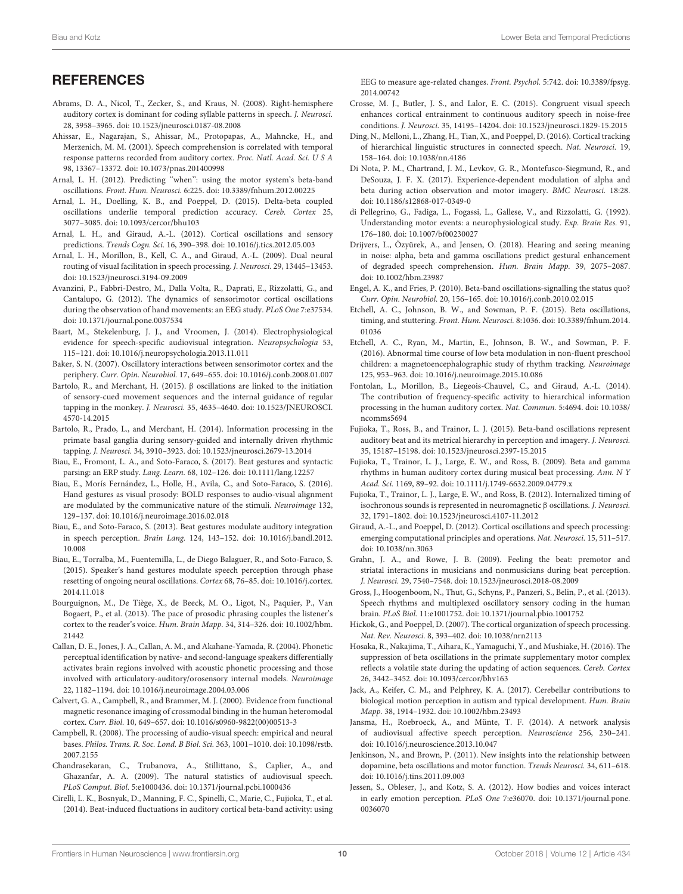#### **REFERENCES**

- <span id="page-9-6"></span>Abrams, D. A., Nicol, T., Zecker, S., and Kraus, N. (2008). Right-hemisphere auditory cortex is dominant for coding syllable patterns in speech. J. Neurosci. 28, 3958–3965. [doi: 10.1523/jneurosci.0187-08.2008](https://doi.org/10.1523/jneurosci.0187-08.2008)
- <span id="page-9-5"></span>Ahissar, E., Nagarajan, S., Ahissar, M., Protopapas, A., Mahncke, H., and Merzenich, M. M. (2001). Speech comprehension is correlated with temporal response patterns recorded from auditory cortex. Proc. Natl. Acad. Sci. U S A 98, 13367–13372. [doi: 10.1073/pnas.201400998](https://doi.org/10.1073/pnas.201400998)
- <span id="page-9-12"></span>Arnal, L. H. (2012). Predicting "when": using the motor system's beta-band oscillations. Front. Hum. Neurosci. 6:225. [doi: 10.3389/fnhum.2012.00225](https://doi.org/10.3389/fnhum.2012.00225)
- <span id="page-9-18"></span>Arnal, L. H., Doelling, K. B., and Poeppel, D. (2015). Delta-beta coupled oscillations underlie temporal prediction accuracy. Cereb. Cortex 25, 3077–3085. [doi: 10.1093/cercor/bhu103](https://doi.org/10.1093/cercor/bhu103)
- <span id="page-9-0"></span>Arnal, L. H., and Giraud, A.-L. (2012). Cortical oscillations and sensory predictions. Trends Cogn. Sci. 16, 390–398. [doi: 10.1016/j.tics.2012.05.003](https://doi.org/10.1016/j.tics.2012.05.003)
- <span id="page-9-10"></span>Arnal, L. H., Morillon, B., Kell, C. A., and Giraud, A.-L. (2009). Dual neural routing of visual facilitation in speech processing. J. Neurosci. 29, 13445–13453. [doi: 10.1523/jneurosci.3194-09.2009](https://doi.org/10.1523/jneurosci.3194-09.2009)
- <span id="page-9-24"></span>Avanzini, P., Fabbri-Destro, M., Dalla Volta, R., Daprati, E., Rizzolatti, G., and Cantalupo, G. (2012). The dynamics of sensorimotor cortical oscillations during the observation of hand movements: an EEG study. PLoS One 7:e37534. [doi: 10.1371/journal.pone.0037534](https://doi.org/10.1371/journal.pone.0037534)
- <span id="page-9-9"></span>Baart, M., Stekelenburg, J. J., and Vroomen, J. (2014). Electrophysiological evidence for speech-specific audiovisual integration. Neuropsychologia 53, 115–121. [doi: 10.1016/j.neuropsychologia.2013.11.011](https://doi.org/10.1016/j.neuropsychologia.2013.11.011)
- <span id="page-9-23"></span>Baker, S. N. (2007). Oscillatory interactions between sensorimotor cortex and the periphery. Curr. Opin. Neurobiol. 17, 649–655. [doi: 10.1016/j.conb.2008.01.007](https://doi.org/10.1016/j.conb.2008.01.007)
- <span id="page-9-40"></span>Bartolo, R., and Merchant, H. (2015). β oscillations are linked to the initiation of sensory-cued movement sequences and the internal guidance of regular tapping in the monkey. J. Neurosci. 35, 4635–4640. [doi: 10.1523/JNEUROSCI.](https://doi.org/10.1523/JNEUROSCI.4570-14.2015) [4570-14.2015](https://doi.org/10.1523/JNEUROSCI.4570-14.2015)
- <span id="page-9-39"></span>Bartolo, R., Prado, L., and Merchant, H. (2014). Information processing in the primate basal ganglia during sensory-guided and internally driven rhythmic tapping. J. Neurosci. 34, 3910–3923. [doi: 10.1523/jneurosci.2679-13.2014](https://doi.org/10.1523/jneurosci.2679-13.2014)
- <span id="page-9-32"></span>Biau, E., Fromont, L. A., and Soto-Faraco, S. (2017). Beat gestures and syntactic parsing: an ERP study. Lang. Learn. 68, 102–126. [doi: 10.1111/lang.12257](https://doi.org/10.1111/lang.12257)
- <span id="page-9-14"></span>Biau, E., Morís Fernández, L., Holle, H., Avila, C., and Soto-Faraco, S. (2016). Hand gestures as visual prosody: BOLD responses to audio-visual alignment are modulated by the communicative nature of the stimuli. Neuroimage 132, 129–137. [doi: 10.1016/j.neuroimage.2016.02.018](https://doi.org/10.1016/j.neuroimage.2016.02.018)
- <span id="page-9-29"></span>Biau, E., and Soto-Faraco, S. (2013). Beat gestures modulate auditory integration in speech perception. Brain Lang. 124, 143–152. [doi: 10.1016/j.bandl.2012.](https://doi.org/10.1016/j.bandl.2012.10.008) [10.008](https://doi.org/10.1016/j.bandl.2012.10.008)
- <span id="page-9-30"></span>Biau, E., Torralba, M., Fuentemilla, L., de Diego Balaguer, R., and Soto-Faraco, S. (2015). Speaker's hand gestures modulate speech perception through phase resetting of ongoing neural oscillations. Cortex 68, 76–85. [doi: 10.1016/j.cortex.](https://doi.org/10.1016/j.cortex.2014.11.018) [2014.11.018](https://doi.org/10.1016/j.cortex.2014.11.018)
- <span id="page-9-4"></span>Bourguignon, M., De Tiège, X., de Beeck, M. O., Ligot, N., Paquier, P., Van Bogaert, P., et al. (2013). The pace of prosodic phrasing couples the listener's cortex to the reader's voice. Hum. Brain Mapp. 34, 314–326. [doi: 10.1002/hbm.](https://doi.org/10.1002/hbm.21442) [21442](https://doi.org/10.1002/hbm.21442)
- <span id="page-9-36"></span>Callan, D. E., Jones, J. A., Callan, A. M., and Akahane-Yamada, R. (2004). Phonetic perceptual identification by native- and second-language speakers differentially activates brain regions involved with acoustic phonetic processing and those involved with articulatory-auditory/orosensory internal models. Neuroimage 22, 1182–1194. [doi: 10.1016/j.neuroimage.2004.03.006](https://doi.org/10.1016/j.neuroimage.2004.03.006)
- <span id="page-9-35"></span>Calvert, G. A., Campbell, R., and Brammer, M. J. (2000). Evidence from functional magnetic resonance imaging of crossmodal binding in the human heteromodal cortex. Curr. Biol. 10, 649–657. [doi: 10.1016/s0960-9822\(00\)00513-3](https://doi.org/10.1016/s0960-9822(00)00513-3)
- <span id="page-9-33"></span>Campbell, R. (2008). The processing of audio-visual speech: empirical and neural bases. Philos. Trans. R. Soc. Lond. B Biol. Sci. 363, 1001–1010. [doi: 10.1098/rstb.](https://doi.org/10.1098/rstb.2007.2155) [2007.2155](https://doi.org/10.1098/rstb.2007.2155)
- <span id="page-9-28"></span>Chandrasekaran, C., Trubanova, A., Stillittano, S., Caplier, A., and Ghazanfar, A. A. (2009). The natural statistics of audiovisual speech. PLoS Comput. Biol. 5:e1000436. [doi: 10.1371/journal.pcbi.1000436](https://doi.org/10.1371/journal.pcbi.1000436)
- <span id="page-9-17"></span>Cirelli, L. K., Bosnyak, D., Manning, F. C., Spinelli, C., Marie, C., Fujioka, T., et al. (2014). Beat-induced fluctuations in auditory cortical beta-band activity: using

EEG to measure age-related changes. Front. Psychol. 5:742. [doi: 10.3389/fpsyg.](https://doi.org/10.3389/fpsyg.2014.00742) [2014.00742](https://doi.org/10.3389/fpsyg.2014.00742)

- <span id="page-9-11"></span>Crosse, M. J., Butler, J. S., and Lalor, E. C. (2015). Congruent visual speech enhances cortical entrainment to continuous auditory speech in noise-free conditions. J. Neurosci. 35, 14195–14204. [doi: 10.1523/jneurosci.1829-15.2015](https://doi.org/10.1523/jneurosci.1829-15.2015)
- <span id="page-9-8"></span>Ding, N., Melloni, L., Zhang, H., Tian, X., and Poeppel, D. (2016). Cortical tracking of hierarchical linguistic structures in connected speech. Nat. Neurosci. 19, 158–164. [doi: 10.1038/nn.4186](https://doi.org/10.1038/nn.4186)
- <span id="page-9-2"></span>Di Nota, P. M., Chartrand, J. M., Levkov, G. R., Montefusco-Siegmund, R., and DeSouza, J. F. X. (2017). Experience-dependent modulation of alpha and beta during action observation and motor imagery. BMC Neurosci. 18:28. [doi: 10.1186/s12868-017-0349-0](https://doi.org/10.1186/s12868-017-0349-0)
- <span id="page-9-22"></span>di Pellegrino, G., Fadiga, L., Fogassi, L., Gallese, V., and Rizzolatti, G. (1992). Understanding motor events: a neurophysiological study. Exp. Brain Res. 91, 176–180. [doi: 10.1007/bf00230027](https://doi.org/10.1007/bf00230027)
- <span id="page-9-25"></span>Drijvers, L., Özyürek, A., and Jensen, O. (2018). Hearing and seeing meaning in noise: alpha, beta and gamma oscillations predict gestural enhancement of degraded speech comprehension. Hum. Brain Mapp. 39, 2075–2087. [doi: 10.1002/hbm.23987](https://doi.org/10.1002/hbm.23987)
- <span id="page-9-1"></span>Engel, A. K., and Fries, P. (2010). Beta-band oscillations-signalling the status quo? Curr. Opin. Neurobiol. 20, 156–165. [doi: 10.1016/j.conb.2010.02.015](https://doi.org/10.1016/j.conb.2010.02.015)
- <span id="page-9-41"></span>Etchell, A. C., Johnson, B. W., and Sowman, P. F. (2015). Beta oscillations, timing, and stuttering. Front. Hum. Neurosci. 8:1036. [doi: 10.3389/fnhum.2014.](https://doi.org/10.3389/fnhum.2014.01036) [01036](https://doi.org/10.3389/fnhum.2014.01036)
- <span id="page-9-37"></span>Etchell, A. C., Ryan, M., Martin, E., Johnson, B. W., and Sowman, P. F. (2016). Abnormal time course of low beta modulation in non-fluent preschool children: a magnetoencephalographic study of rhythm tracking. Neuroimage 125, 953–963. [doi: 10.1016/j.neuroimage.2015.10.086](https://doi.org/10.1016/j.neuroimage.2015.10.086)
- <span id="page-9-26"></span>Fontolan, L., Morillon, B., Liegeois-Chauvel, C., and Giraud, A.-L. (2014). The contribution of frequency-specific activity to hierarchical information processing in the human auditory cortex. Nat. Commun. 5:4694. [doi: 10.1038/](https://doi.org/10.1038/ncomms5694) [ncomms5694](https://doi.org/10.1038/ncomms5694)
- <span id="page-9-19"></span>Fujioka, T., Ross, B., and Trainor, L. J. (2015). Beta-band oscillations represent auditory beat and its metrical hierarchy in perception and imagery. J. Neurosci. 35, 15187–15198. [doi: 10.1523/jneurosci.2397-15.2015](https://doi.org/10.1523/jneurosci.2397-15.2015)
- <span id="page-9-15"></span>Fujioka, T., Trainor, L. J., Large, E. W., and Ross, B. (2009). Beta and gamma rhythms in human auditory cortex during musical beat processing. Ann. N Y Acad. Sci. 1169, 89–92. [doi: 10.1111/j.1749-6632.2009.04779.x](https://doi.org/10.1111/j.1749-6632.2009.04779.x)
- <span id="page-9-16"></span>Fujioka, T., Trainor, L. J., Large, E. W., and Ross, B. (2012). Internalized timing of isochronous sounds is represented in neuromagnetic β oscillations. J. Neurosci. 32, 1791–1802. [doi: 10.1523/jneurosci.4107-11.2012](https://doi.org/10.1523/jneurosci.4107-11.2012)
- <span id="page-9-7"></span>Giraud, A.-L., and Poeppel, D. (2012). Cortical oscillations and speech processing: emerging computational principles and operations. Nat. Neurosci. 15, 511–517. [doi: 10.1038/nn.3063](https://doi.org/10.1038/nn.3063)
- <span id="page-9-27"></span>Grahn, J. A., and Rowe, J. B. (2009). Feeling the beat: premotor and striatal interactions in musicians and nonmusicians during beat perception. J. Neurosci. 29, 7540–7548. [doi: 10.1523/jneurosci.2018-08.2009](https://doi.org/10.1523/jneurosci.2018-08.2009)
- <span id="page-9-3"></span>Gross, J., Hoogenboom, N., Thut, G., Schyns, P., Panzeri, S., Belin, P., et al. (2013). Speech rhythms and multiplexed oscillatory sensory coding in the human brain. PLoS Biol. 11:e1001752. [doi: 10.1371/journal.pbio.1001752](https://doi.org/10.1371/journal.pbio.1001752)
- <span id="page-9-31"></span>Hickok, G., and Poeppel, D. (2007). The cortical organization of speech processing. Nat. Rev. Neurosci. 8, 393–402. [doi: 10.1038/nrn2113](https://doi.org/10.1038/nrn2113)
- <span id="page-9-21"></span>Hosaka, R., Nakajima, T., Aihara, K., Yamaguchi, Y., and Mushiake, H. (2016). The suppression of beta oscillations in the primate supplementary motor complex reflects a volatile state during the updating of action sequences. Cereb. Cortex 26, 3442–3452. [doi: 10.1093/cercor/bhv163](https://doi.org/10.1093/cercor/bhv163)
- <span id="page-9-38"></span>Jack, A., Keifer, C. M., and Pelphrey, K. A. (2017). Cerebellar contributions to biological motion perception in autism and typical development. Hum. Brain Mapp. 38, 1914–1932. [doi: 10.1002/hbm.23493](https://doi.org/10.1002/hbm.23493)
- <span id="page-9-34"></span>Jansma, H., Roebroeck, A., and Münte, T. F. (2014). A network analysis of audiovisual affective speech perception. Neuroscience 256, 230–241. [doi: 10.1016/j.neuroscience.2013.10.047](https://doi.org/10.1016/j.neuroscience.2013.10.047)
- <span id="page-9-20"></span>Jenkinson, N., and Brown, P. (2011). New insights into the relationship between dopamine, beta oscillations and motor function. Trends Neurosci. 34, 611–618. [doi: 10.1016/j.tins.2011.09.003](https://doi.org/10.1016/j.tins.2011.09.003)
- <span id="page-9-13"></span>Jessen, S., Obleser, J., and Kotz, S. A. (2012). How bodies and voices interact in early emotion perception. PLoS One 7:e36070. [doi: 10.1371/journal.pone.](https://doi.org/10.1371/journal.pone.0036070) [0036070](https://doi.org/10.1371/journal.pone.0036070)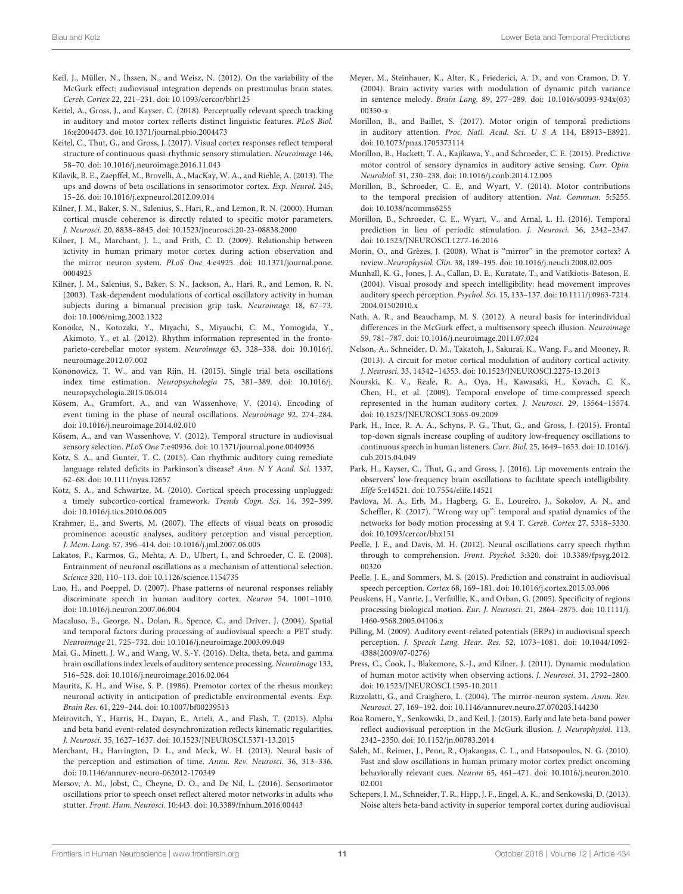- <span id="page-10-22"></span>Keil, J., Müller, N., Ihssen, N., and Weisz, N. (2012). On the variability of the McGurk effect: audiovisual integration depends on prestimulus brain states. Cereb. Cortex 22, 221–231. [doi: 10.1093/cercor/bhr125](https://doi.org/10.1093/cercor/bhr125)
- <span id="page-10-30"></span>Keitel, A., Gross, J., and Kayser, C. (2018). Perceptually relevant speech tracking in auditory and motor cortex reflects distinct linguistic features. PLoS Biol. 16:e2004473. [doi: 10.1371/journal.pbio.2004473](https://doi.org/10.1371/journal.pbio.2004473)
- <span id="page-10-16"></span>Keitel, C., Thut, G., and Gross, J. (2017). Visual cortex responses reflect temporal structure of continuous quasi-rhythmic sensory stimulation. Neuroimage 146, 58–70. [doi: 10.1016/j.neuroimage.2016.11.043](https://doi.org/10.1016/j.neuroimage.2016.11.043)
- <span id="page-10-18"></span>Kilavik, B. E., Zaepffel, M., Brovelli, A., MacKay, W. A., and Riehle, A. (2013). The ups and downs of beta oscillations in sensorimotor cortex. Exp. Neurol. 245, 15–26. [doi: 10.1016/j.expneurol.2012.09.014](https://doi.org/10.1016/j.expneurol.2012.09.014)
- <span id="page-10-10"></span>Kilner, J. M., Baker, S. N., Salenius, S., Hari, R., and Lemon, R. N. (2000). Human cortical muscle coherence is directly related to specific motor parameters. J. Neurosci. 20, 8838–8845. [doi: 10.1523/jneurosci.20-23-08838.2000](https://doi.org/10.1523/jneurosci.20-23-08838.2000)
- <span id="page-10-12"></span>Kilner, J. M., Marchant, J. L., and Frith, C. D. (2009). Relationship between activity in human primary motor cortex during action observation and the mirror neuron system. PLoS One 4:e4925. [doi: 10.1371/journal.pone.](https://doi.org/10.1371/journal.pone.0004925) [0004925](https://doi.org/10.1371/journal.pone.0004925)
- <span id="page-10-11"></span>Kilner, J. M., Salenius, S., Baker, S. N., Jackson, A., Hari, R., and Lemon, R. N. (2003). Task-dependent modulations of cortical oscillatory activity in human subjects during a bimanual precision grip task. Neuroimage 18, 67–73. [doi: 10.1006/nimg.2002.1322](https://doi.org/10.1006/nimg.2002.1322)
- <span id="page-10-40"></span>Konoike, N., Kotozaki, Y., Miyachi, S., Miyauchi, C. M., Yomogida, Y., Akimoto, Y., et al. (2012). Rhythm information represented in the frontoparieto-cerebellar motor system. Neuroimage 63, 328–338. [doi: 10.1016/j.](https://doi.org/10.1016/j.neuroimage.2012.07.002) [neuroimage.2012.07.002](https://doi.org/10.1016/j.neuroimage.2012.07.002)
- <span id="page-10-15"></span>Kononowicz, T. W., and van Rijn, H. (2015). Single trial beta oscillations index time estimation. Neuropsychologia 75, 381–389. [doi: 10.1016/j.](https://doi.org/10.1016/j.neuropsychologia.2015.06.014) [neuropsychologia.2015.06.014](https://doi.org/10.1016/j.neuropsychologia.2015.06.014)
- <span id="page-10-27"></span>Kösem, A., Gramfort, A., and van Wassenhove, V. (2014). Encoding of event timing in the phase of neural oscillations. Neuroimage 92, 274–284. [doi: 10.1016/j.neuroimage.2014.02.010](https://doi.org/10.1016/j.neuroimage.2014.02.010)
- <span id="page-10-26"></span>Kösem, A., and van Wassenhove, V. (2012). Temporal structure in audiovisual sensory selection. PLoS One 7:e40936. [doi: 10.1371/journal.pone.0040936](https://doi.org/10.1371/journal.pone.0040936)
- <span id="page-10-43"></span>Kotz, S. A., and Gunter, T. C. (2015). Can rhythmic auditory cuing remediate language related deficits in Parkinson's disease? Ann. N Y Acad. Sci. 1337, 62–68. [doi: 10.1111/nyas.12657](https://doi.org/10.1111/nyas.12657)
- <span id="page-10-39"></span>Kotz, S. A., and Schwartze, M. (2010). Cortical speech processing unplugged: a timely subcortico-cortical framework. Trends Cogn. Sci. 14, 392–399. [doi: 10.1016/j.tics.2010.06.005](https://doi.org/10.1016/j.tics.2010.06.005)
- <span id="page-10-33"></span>Krahmer, E., and Swerts, M. (2007). The effects of visual beats on prosodic prominence: acoustic analyses, auditory perception and visual perception. J. Mem. Lang. 57, 396–414. [doi: 10.1016/j.jml.2007.06.005](https://doi.org/10.1016/j.jml.2007.06.005)
- <span id="page-10-0"></span>Lakatos, P., Karmos, G., Mehta, A. D., Ulbert, I., and Schroeder, C. E. (2008). Entrainment of neuronal oscillations as a mechanism of attentional selection. Science 320, 110–113. [doi: 10.1126/science.1154735](https://doi.org/10.1126/science.1154735)
- <span id="page-10-3"></span>Luo, H., and Poeppel, D. (2007). Phase patterns of neuronal responses reliably discriminate speech in human auditory cortex. Neuron 54, 1001–1010. [doi: 10.1016/j.neuron.2007.06.004](https://doi.org/10.1016/j.neuron.2007.06.004)
- <span id="page-10-34"></span>Macaluso, E., George, N., Dolan, R., Spence, C., and Driver, J. (2004). Spatial and temporal factors during processing of audiovisual speech: a PET study. Neuroimage 21, 725–732. [doi: 10.1016/j.neuroimage.2003.09.049](https://doi.org/10.1016/j.neuroimage.2003.09.049)
- <span id="page-10-25"></span>Mai, G., Minett, J. W., and Wang, W. S.-Y. (2016). Delta, theta, beta, and gamma brain oscillations index levels of auditory sentence processing. Neuroimage 133, 516–528. [doi: 10.1016/j.neuroimage.2016.02.064](https://doi.org/10.1016/j.neuroimage.2016.02.064)
- <span id="page-10-31"></span>Mauritz, K. H., and Wise, S. P. (1986). Premotor cortex of the rhesus monkey: neuronal activity in anticipation of predictable environmental events. Exp. Brain Res. 61, 229–244. [doi: 10.1007/bf00239513](https://doi.org/10.1007/bf00239513)
- <span id="page-10-13"></span>Meirovitch, Y., Harris, H., Dayan, E., Arieli, A., and Flash, T. (2015). Alpha and beta band event-related desynchronization reflects kinematic regularities. J. Neurosci. 35, 1627–1637. [doi: 10.1523/JNEUROSCI.5371-13.2015](https://doi.org/10.1523/JNEUROSCI.5371-13.2015)
- <span id="page-10-41"></span>Merchant, H., Harrington, D. L., and Meck, W. H. (2013). Neural basis of the perception and estimation of time. Annu. Rev. Neurosci. 36, 313–336. [doi: 10.1146/annurev-neuro-062012-170349](https://doi.org/10.1146/annurev-neuro-062012-170349)
- <span id="page-10-42"></span>Mersov, A. M., Jobst, C., Cheyne, D. O., and De Nil, L. (2016). Sensorimotor oscillations prior to speech onset reflect altered motor networks in adults who stutter. Front. Hum. Neurosci. 10:443. [doi: 10.3389/fnhum.2016.00443](https://doi.org/10.3389/fnhum.2016.00443)
- <span id="page-10-37"></span>Meyer, M., Steinhauer, K., Alter, K., Friederici, A. D., and von Cramon, D. Y. (2004). Brain activity varies with modulation of dynamic pitch variance in sentence melody. Brain Lang. 89, 277–289. [doi: 10.1016/s0093-934x\(03\)](https://doi.org/10.1016/s0093-934x(03)00350-x) [00350-x](https://doi.org/10.1016/s0093-934x(03)00350-x)
- <span id="page-10-9"></span>Morillon, B., and Baillet, S. (2017). Motor origin of temporal predictions in auditory attention. Proc. Natl. Acad. Sci. U S A 114, E8913–E8921. [doi: 10.1073/pnas.1705373114](https://doi.org/10.1073/pnas.1705373114)
- <span id="page-10-29"></span>Morillon, B., Hackett, T. A., Kajikawa, Y., and Schroeder, C. E. (2015). Predictive motor control of sensory dynamics in auditory active sensing. Curr. Opin. Neurobiol. 31, 230–238. [doi: 10.1016/j.conb.2014.12.005](https://doi.org/10.1016/j.conb.2014.12.005)
- <span id="page-10-28"></span>Morillon, B., Schroeder, C. E., and Wyart, V. (2014). Motor contributions to the temporal precision of auditory attention. Nat. Commun. 5:5255. [doi: 10.1038/ncomms6255](https://doi.org/10.1038/ncomms6255)
- <span id="page-10-8"></span>Morillon, B., Schroeder, C. E., Wyart, V., and Arnal, L. H. (2016). Temporal prediction in lieu of periodic stimulation. J. Neurosci. 36, 2342–2347. [doi: 10.1523/JNEUROSCI.1277-16.2016](https://doi.org/10.1523/JNEUROSCI.1277-16.2016)
- <span id="page-10-20"></span>Morin, O., and Grèzes, J. (2008). What is ''mirror'' in the premotor cortex? A review. Neurophysiol. Clin. 38, 189–195. [doi: 10.1016/j.neucli.2008.02.005](https://doi.org/10.1016/j.neucli.2008.02.005)
- <span id="page-10-14"></span>Munhall, K. G., Jones, J. A., Callan, D. E., Kuratate, T., and Vatikiotis-Bateson, E. (2004). Visual prosody and speech intelligibility: head movement improves auditory speech perception. Psychol. Sci. 15, 133–137. [doi: 10.1111/j.0963-7214.](https://doi.org/10.1111/j.0963-7214.2004.01502010.x) [2004.01502010.x](https://doi.org/10.1111/j.0963-7214.2004.01502010.x)
- <span id="page-10-38"></span>Nath, A. R., and Beauchamp, M. S. (2012). A neural basis for interindividual differences in the McGurk effect, a multisensory speech illusion. Neuroimage 59, 781–787. [doi: 10.1016/j.neuroimage.2011.07.024](https://doi.org/10.1016/j.neuroimage.2011.07.024)
- <span id="page-10-32"></span>Nelson, A., Schneider, D. M., Takatoh, J., Sakurai, K., Wang, F., and Mooney, R. (2013). A circuit for motor cortical modulation of auditory cortical activity. J. Neurosci. 33, 14342–14353. [doi: 10.1523/JNEUROSCI.2275-13.2013](https://doi.org/10.1523/JNEUROSCI.2275-13.2013)
- <span id="page-10-4"></span>Nourski, K. V., Reale, R. A., Oya, H., Kawasaki, H., Kovach, C. K., Chen, H., et al. (2009). Temporal envelope of time-compressed speech represented in the human auditory cortex. J. Neurosci. 29, 15564–15574. [doi: 10.1523/JNEUROSCI.3065-09.2009](https://doi.org/10.1523/JNEUROSCI.3065-09.2009)
- <span id="page-10-1"></span>Park, H., Ince, R. A. A., Schyns, P. G., Thut, G., and Gross, J. (2015). Frontal top-down signals increase coupling of auditory low-frequency oscillations to continuous speech in human listeners. Curr. Biol. 25, 1649–1653. [doi: 10.1016/j.](https://doi.org/10.1016/j.cub.2015.04.049) [cub.2015.04.049](https://doi.org/10.1016/j.cub.2015.04.049)
- <span id="page-10-21"></span>Park, H., Kayser, C., Thut, G., and Gross, J. (2016). Lip movements entrain the observers' low-frequency brain oscillations to facilitate speech intelligibility. Elife 5:e14521. [doi: 10.7554/elife.14521](https://doi.org/10.7554/elife.14521)
- <span id="page-10-35"></span>Pavlova, M. A., Erb, M., Hagberg, G. E., Loureiro, J., Sokolov, A. N., and Scheffler, K. (2017). "Wrong way up": temporal and spatial dynamics of the networks for body motion processing at 9.4 T. Cereb. Cortex 27, 5318–5330. [doi: 10.1093/cercor/bhx151](https://doi.org/10.1093/cercor/bhx151)
- <span id="page-10-5"></span>Peelle, J. E., and Davis, M. H. (2012). Neural oscillations carry speech rhythm through to comprehension. Front. Psychol. 3:320. [doi: 10.3389/fpsyg.2012.](https://doi.org/10.3389/fpsyg.2012.00320) [00320](https://doi.org/10.3389/fpsyg.2012.00320)
- <span id="page-10-7"></span>Peelle, J. E., and Sommers, M. S. (2015). Prediction and constraint in audiovisual speech perception. Cortex 68, 169–181. [doi: 10.1016/j.cortex.2015.03.006](https://doi.org/10.1016/j.cortex.2015.03.006)
- <span id="page-10-36"></span>Peuskens, H., Vanrie, J., Verfaillie, K., and Orban, G. (2005). Specificity of regions processing biological motion. Eur. J. Neurosci. 21, 2864–2875. [doi: 10.1111/j.](https://doi.org/10.1111/j.1460-9568.2005.04106.x) [1460-9568.2005.04106.x](https://doi.org/10.1111/j.1460-9568.2005.04106.x)
- <span id="page-10-6"></span>Pilling, M. (2009). Auditory event-related potentials (ERPs) in audiovisual speech perception. J. Speech Lang. Hear. Res. 52, 1073–1081. [doi: 10.1044/1092-](https://doi.org/10.1044/1092-4388(2009/07-0276)) [4388\(2009/07-0276\)](https://doi.org/10.1044/1092-4388(2009/07-0276))
- <span id="page-10-2"></span>Press, C., Cook, J., Blakemore, S.-J., and Kilner, J. (2011). Dynamic modulation of human motor activity when observing actions. J. Neurosci. 31, 2792–2800. [doi: 10.1523/JNEUROSCI.1595-10.2011](https://doi.org/10.1523/JNEUROSCI.1595-10.2011)
- <span id="page-10-19"></span>Rizzolatti, G., and Craighero, L. (2004). The mirror-neuron system. Annu. Rev. Neurosci. 27, 169–192. [doi: 10.1146/annurev.neuro.27.070203.144230](https://doi.org/10.1146/annurev.neuro.27.070203.144230)
- <span id="page-10-24"></span>Roa Romero, Y., Senkowski, D., and Keil, J. (2015). Early and late beta-band power reflect audiovisual perception in the McGurk illusion. J. Neurophysiol. 113, 2342–2350. [doi: 10.1152/jn.00783.2014](https://doi.org/10.1152/jn.00783.2014)
- <span id="page-10-17"></span>Saleh, M., Reimer, J., Penn, R., Ojakangas, C. L., and Hatsopoulos, N. G. (2010). Fast and slow oscillations in human primary motor cortex predict oncoming behaviorally relevant cues. Neuron 65, 461–471. [doi: 10.1016/j.neuron.2010.](https://doi.org/10.1016/j.neuron.2010.02.001) [02.001](https://doi.org/10.1016/j.neuron.2010.02.001)
- <span id="page-10-23"></span>Schepers, I. M., Schneider, T. R., Hipp, J. F., Engel, A. K., and Senkowski, D. (2013). Noise alters beta-band activity in superior temporal cortex during audiovisual